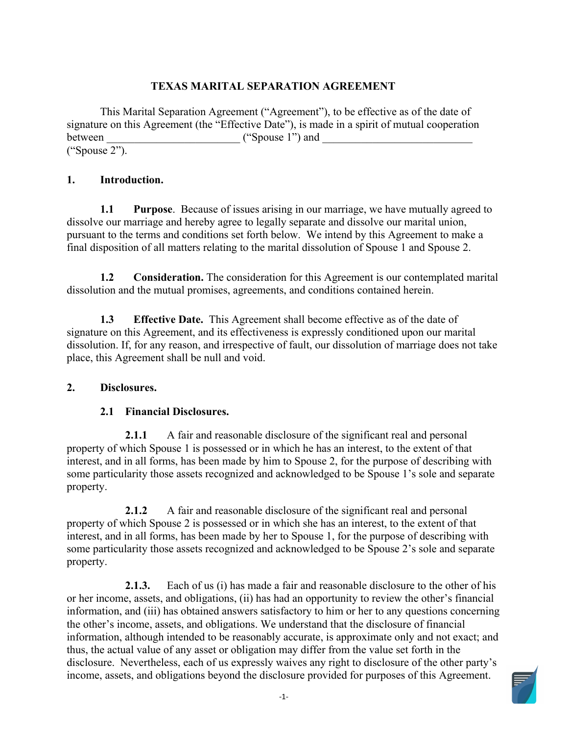# **TEXAS MARITAL SEPARATION AGREEMENT**

 This Marital Separation Agreement ("Agreement"), to be effective as of the date of between \_\_\_\_\_\_\_\_\_\_\_\_\_\_\_\_\_\_\_\_\_\_\_\_ ("Spouse 1") and \_\_\_\_\_\_\_\_\_\_\_\_\_\_\_\_\_\_\_\_\_\_\_\_\_\_\_ signature on this Agreement (the "Effective Date"), is made in a spirit of mutual cooperation ("Spouse 2").

### **1. Introduction.**

 **1.1 Purpose**. Because of issues arising in our marriage, we have mutually agreed to dissolve our marriage and hereby agree to legally separate and dissolve our marital union, pursuant to the terms and conditions set forth below. We intend by this Agreement to make a final disposition of all matters relating to the marital dissolution of Spouse 1 and Spouse 2.

 $1.2$ **1.2 Consideration.** The consideration for this Agreement is our contemplated marital dissolution and the mutual promises, agreements, and conditions contained herein.

 **1.3 Effective Date.** This Agreement shall become effective as of the date of signature on this Agreement, and its effectiveness is expressly conditioned upon our marital dissolution. If, for any reason, and irrespective of fault, our dissolution of marriage does not take place, this Agreement shall be null and void.

# **2. Disclosures.**

### **2.1 Financial Disclosures.**

 property of which Spouse 1 is possessed or in which he has an interest, to the extent of that some particularity those assets recognized and acknowledged to be Spouse 1's sole and separate property. **2.1.1** A fair and reasonable disclosure of the significant real and personal interest, and in all forms, has been made by him to Spouse 2, for the purpose of describing with

 some particularity those assets recognized and acknowledged to be Spouse 2's sole and separate **2.1.2** A fair and reasonable disclosure of the significant real and personal property of which Spouse 2 is possessed or in which she has an interest, to the extent of that interest, and in all forms, has been made by her to Spouse 1, for the purpose of describing with property.

**2.1.3.** Each of us (i) has made a fair and reasonable disclosure to the other of his or her income, assets, and obligations, (ii) has had an opportunity to review the other's financial information, and (iii) has obtained answers satisfactory to him or her to any questions concerning the other's income, assets, and obligations. We understand that the disclosure of financial information, although intended to be reasonably accurate, is approximate only and not exact; and thus, the actual value of any asset or obligation may differ from the value set forth in the disclosure. Nevertheless, each of us expressly waives any right to disclosure of the other party's income, assets, and obligations beyond the disclosure provided for purposes of this Agreement.

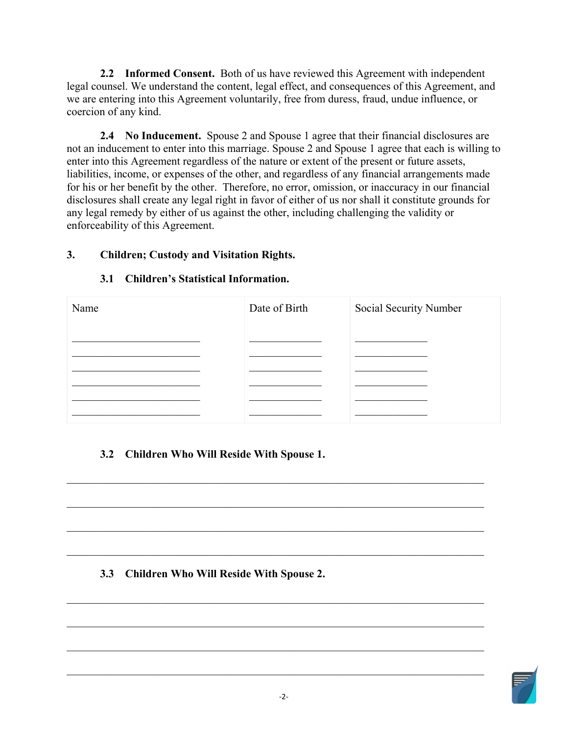**2.2 Informed Consent.** Both of us have reviewed this Agreement with independent legal counsel. We understand the content, legal effect, and consequences of this Agreement, and we are entering into this Agreement voluntarily, free from duress, fraud, undue influence, or coercion of any kind.

 **2.4 No Inducement.** Spouse 2 and Spouse 1 agree that their financial disclosures are not an inducement to enter into this marriage. Spouse 2 and Spouse 1 agree that each is willing to enter into this Agreement regardless of the nature or extent of the present or future assets, for his or her benefit by the other. Therefore, no error, omission, or inaccuracy in our financial liabilities, income, or expenses of the other, and regardless of any financial arrangements made disclosures shall create any legal right in favor of either of us nor shall it constitute grounds for any legal remedy by either of us against the other, including challenging the validity or enforceability of this Agreement.

# **3. Children; Custody and Visitation Rights.**

# **3.1 Children's Statistical Information.**

| Name | Date of Birth | Social Security Number |
|------|---------------|------------------------|
|      |               |                        |
|      |               |                        |
|      |               |                        |
|      |               |                        |
|      |               |                        |
|      |               |                        |

\_\_\_\_\_\_\_\_\_\_\_\_\_\_\_\_\_\_\_\_\_\_\_\_\_\_\_\_\_\_\_\_\_\_\_\_\_\_\_\_\_\_\_\_\_\_\_\_\_\_\_\_\_\_\_\_\_\_\_\_\_\_\_\_\_\_\_\_\_\_\_\_\_\_\_

\_\_\_\_\_\_\_\_\_\_\_\_\_\_\_\_\_\_\_\_\_\_\_\_\_\_\_\_\_\_\_\_\_\_\_\_\_\_\_\_\_\_\_\_\_\_\_\_\_\_\_\_\_\_\_\_\_\_\_\_\_\_\_\_\_\_\_\_\_\_\_\_\_\_\_

\_\_\_\_\_\_\_\_\_\_\_\_\_\_\_\_\_\_\_\_\_\_\_\_\_\_\_\_\_\_\_\_\_\_\_\_\_\_\_\_\_\_\_\_\_\_\_\_\_\_\_\_\_\_\_\_\_\_\_\_\_\_\_\_\_\_\_\_\_\_\_\_\_\_\_

\_\_\_\_\_\_\_\_\_\_\_\_\_\_\_\_\_\_\_\_\_\_\_\_\_\_\_\_\_\_\_\_\_\_\_\_\_\_\_\_\_\_\_\_\_\_\_\_\_\_\_\_\_\_\_\_\_\_\_\_\_\_\_\_\_\_\_\_\_\_\_\_\_\_\_

# **3.2 Children Who Will Reside With Spouse 1.**

# **3.3 Children Who Will Reside With Spouse 2.**

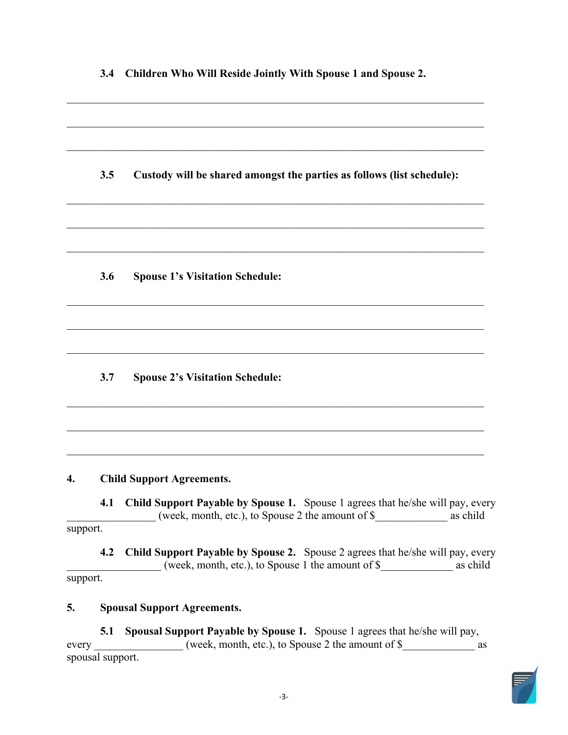| 3.4 | Children Who Will Reside Jointly With Spouse 1 and Spouse 2.           |
|-----|------------------------------------------------------------------------|
|     |                                                                        |
| 3.5 | Custody will be shared amongst the parties as follows (list schedule): |
|     |                                                                        |
| 3.6 | <b>Spouse 1's Visitation Schedule:</b>                                 |
|     |                                                                        |
| 3.7 | <b>Spouse 2's Visitation Schedule:</b>                                 |

# **4. Child Support Agreements.**

 **4.1 Child Support Payable by Spouse 1.** Spouse 1 agrees that he/she will pay, every \_\_\_\_\_\_\_\_\_\_\_\_\_\_\_\_ (week, month, etc.), to Spouse 2 the amount of \$\_\_\_\_\_\_\_\_\_\_\_\_\_ as child support.

\_\_\_\_\_\_\_\_\_\_\_\_\_\_\_\_\_\_\_\_\_\_\_\_\_\_\_\_\_\_\_\_\_\_\_\_\_\_\_\_\_\_\_\_\_\_\_\_\_\_\_\_\_\_\_\_\_\_\_\_\_\_\_\_\_\_\_\_\_\_\_\_\_\_\_

 $\_$  , and the set of the set of the set of the set of the set of the set of the set of the set of the set of the set of the set of the set of the set of the set of the set of the set of the set of the set of the set of th

 **4.2 Child Support Payable by Spouse 2.** Spouse 2 agrees that he/she will pay, every \_\_\_\_\_\_\_\_\_\_\_\_\_\_\_\_\_ (week, month, etc.), to Spouse 1 the amount of \$\_\_\_\_\_\_\_\_\_\_\_\_\_ as child support.

# **5. Spousal Support Agreements.**

 **5.1 Spousal Support Payable by Spouse 1.** Spouse 1 agrees that he/she will pay, spousal support. every week, month, etc.), to Spouse 2 the amount of \$

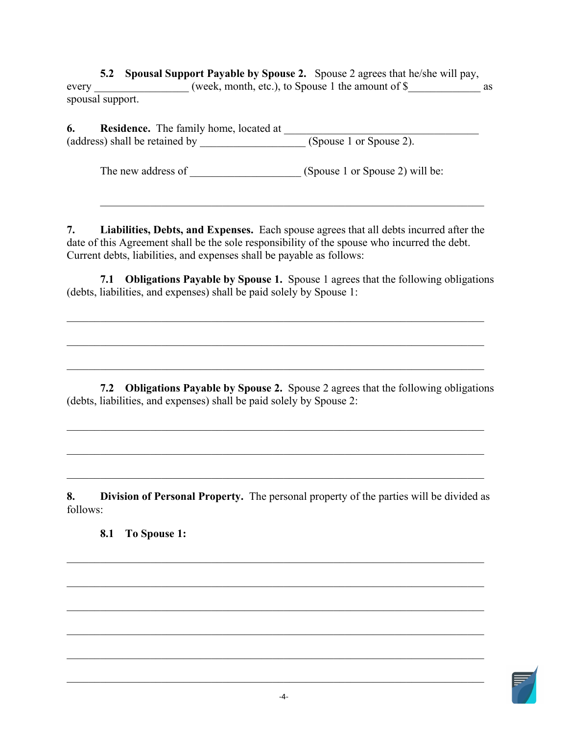**5.2 Spousal Support Payable by Spouse 2.** Spouse 2 agrees that he/she will pay, every \_\_\_\_\_\_\_\_\_\_\_\_\_\_\_\_\_(week, month, etc.), to Spouse 1 the amount of \$\_\_\_\_\_\_\_\_\_\_\_\_\_\_\_ as spousal support.

| 6.                             | <b>Residence.</b> The family home, located at |                         |  |
|--------------------------------|-----------------------------------------------|-------------------------|--|
| (address) shall be retained by |                                               | (Spouse 1 or Spouse 2). |  |

The new address of \_\_\_\_\_\_\_\_\_\_\_\_\_\_\_\_\_\_\_\_\_\_\_\_\_(Spouse 1 or Spouse 2) will be:

 **7. Liabilities, Debts, and Expenses.** Each spouse agrees that all debts incurred after the date of this Agreement shall be the sole responsibility of the spouse who incurred the debt. Current debts, liabilities, and expenses shall be payable as follows:

\_\_\_\_\_\_\_\_\_\_\_\_\_\_\_\_\_\_\_\_\_\_\_\_\_\_\_\_\_\_\_\_\_\_\_\_\_\_\_\_\_\_\_\_\_\_\_\_\_\_\_\_\_\_\_\_\_\_\_\_\_\_\_\_\_\_\_\_\_

 **7.1 Obligations Payable by Spouse 1.** Spouse 1 agrees that the following obligations (debts, liabilities, and expenses) shall be paid solely by Spouse 1:

 **7.2 Obligations Payable by Spouse 2.** Spouse 2 agrees that the following obligations (debts, liabilities, and expenses) shall be paid solely by Spouse 2:

\_\_\_\_\_\_\_\_\_\_\_\_\_\_\_\_\_\_\_\_\_\_\_\_\_\_\_\_\_\_\_\_\_\_\_\_\_\_\_\_\_\_\_\_\_\_\_\_\_\_\_\_\_\_\_\_\_\_\_\_\_\_\_\_\_\_\_\_\_\_\_\_\_\_\_

\_\_\_\_\_\_\_\_\_\_\_\_\_\_\_\_\_\_\_\_\_\_\_\_\_\_\_\_\_\_\_\_\_\_\_\_\_\_\_\_\_\_\_\_\_\_\_\_\_\_\_\_\_\_\_\_\_\_\_\_\_\_\_\_\_\_\_\_\_\_\_\_\_\_\_

**8. Division of Personal Property.** The personal property of the parties will be divided as follows:

\_\_\_\_\_\_\_\_\_\_\_\_\_\_\_\_\_\_\_\_\_\_\_\_\_\_\_\_\_\_\_\_\_\_\_\_\_\_\_\_\_\_\_\_\_\_\_\_\_\_\_\_\_\_\_\_\_\_\_\_\_\_\_\_\_\_\_\_\_\_\_\_\_\_\_

 $\mathcal{L}_\mathcal{L} = \mathcal{L}_\mathcal{L} = \mathcal{L}_\mathcal{L} = \mathcal{L}_\mathcal{L} = \mathcal{L}_\mathcal{L} = \mathcal{L}_\mathcal{L} = \mathcal{L}_\mathcal{L} = \mathcal{L}_\mathcal{L} = \mathcal{L}_\mathcal{L} = \mathcal{L}_\mathcal{L} = \mathcal{L}_\mathcal{L} = \mathcal{L}_\mathcal{L} = \mathcal{L}_\mathcal{L} = \mathcal{L}_\mathcal{L} = \mathcal{L}_\mathcal{L} = \mathcal{L}_\mathcal{L} = \mathcal{L}_\mathcal{L}$ 

\_\_\_\_\_\_\_\_\_\_\_\_\_\_\_\_\_\_\_\_\_\_\_\_\_\_\_\_\_\_\_\_\_\_\_\_\_\_\_\_\_\_\_\_\_\_\_\_\_\_\_\_\_\_\_\_\_\_\_\_\_\_\_\_\_\_\_\_\_\_\_\_\_\_\_

\_\_\_\_\_\_\_\_\_\_\_\_\_\_\_\_\_\_\_\_\_\_\_\_\_\_\_\_\_\_\_\_\_\_\_\_\_\_\_\_\_\_\_\_\_\_\_\_\_\_\_\_\_\_\_\_\_\_\_\_\_\_\_\_\_\_\_\_\_\_\_\_\_\_\_

\_\_\_\_\_\_\_\_\_\_\_\_\_\_\_\_\_\_\_\_\_\_\_\_\_\_\_\_\_\_\_\_\_\_\_\_\_\_\_\_\_\_\_\_\_\_\_\_\_\_\_\_\_\_\_\_\_\_\_\_\_\_\_\_\_\_\_\_\_\_\_\_\_\_\_

**8.1 To Spouse 1:** 

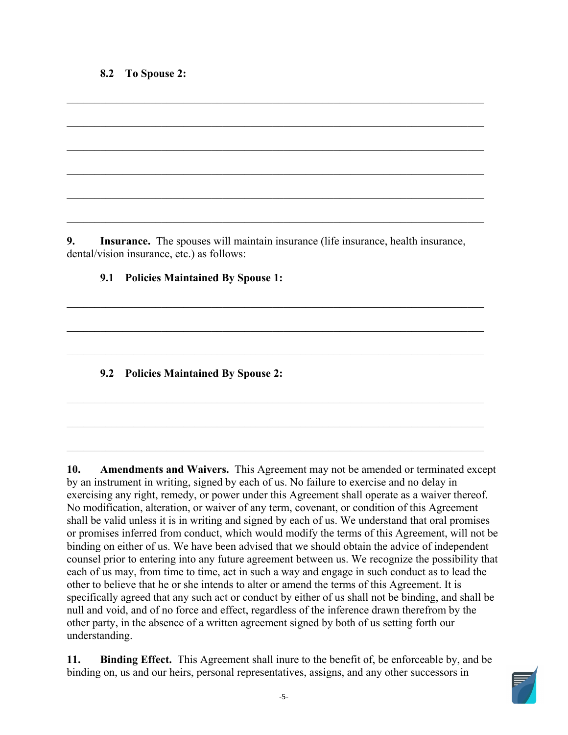## **8.2 To Spouse 2:**

**9. Insurance.** The spouses will maintain insurance (life insurance, health insurance, dental/vision insurance, etc.) as follows:

\_\_\_\_\_\_\_\_\_\_\_\_\_\_\_\_\_\_\_\_\_\_\_\_\_\_\_\_\_\_\_\_\_\_\_\_\_\_\_\_\_\_\_\_\_\_\_\_\_\_\_\_\_\_\_\_\_\_\_\_\_\_\_\_\_\_\_\_\_\_\_\_\_\_\_

\_\_\_\_\_\_\_\_\_\_\_\_\_\_\_\_\_\_\_\_\_\_\_\_\_\_\_\_\_\_\_\_\_\_\_\_\_\_\_\_\_\_\_\_\_\_\_\_\_\_\_\_\_\_\_\_\_\_\_\_\_\_\_\_\_\_\_\_\_\_\_\_\_\_\_

 $\mathcal{L}_\mathcal{L} = \mathcal{L}_\mathcal{L} = \mathcal{L}_\mathcal{L} = \mathcal{L}_\mathcal{L} = \mathcal{L}_\mathcal{L} = \mathcal{L}_\mathcal{L} = \mathcal{L}_\mathcal{L} = \mathcal{L}_\mathcal{L} = \mathcal{L}_\mathcal{L} = \mathcal{L}_\mathcal{L} = \mathcal{L}_\mathcal{L} = \mathcal{L}_\mathcal{L} = \mathcal{L}_\mathcal{L} = \mathcal{L}_\mathcal{L} = \mathcal{L}_\mathcal{L} = \mathcal{L}_\mathcal{L} = \mathcal{L}_\mathcal{L}$ 

\_\_\_\_\_\_\_\_\_\_\_\_\_\_\_\_\_\_\_\_\_\_\_\_\_\_\_\_\_\_\_\_\_\_\_\_\_\_\_\_\_\_\_\_\_\_\_\_\_\_\_\_\_\_\_\_\_\_\_\_\_\_\_\_\_\_\_\_\_\_\_\_\_\_\_

\_\_\_\_\_\_\_\_\_\_\_\_\_\_\_\_\_\_\_\_\_\_\_\_\_\_\_\_\_\_\_\_\_\_\_\_\_\_\_\_\_\_\_\_\_\_\_\_\_\_\_\_\_\_\_\_\_\_\_\_\_\_\_\_\_\_\_\_\_\_\_\_\_\_\_

 $\mathcal{L}_\mathcal{L} = \mathcal{L}_\mathcal{L} = \mathcal{L}_\mathcal{L} = \mathcal{L}_\mathcal{L} = \mathcal{L}_\mathcal{L} = \mathcal{L}_\mathcal{L} = \mathcal{L}_\mathcal{L} = \mathcal{L}_\mathcal{L} = \mathcal{L}_\mathcal{L} = \mathcal{L}_\mathcal{L} = \mathcal{L}_\mathcal{L} = \mathcal{L}_\mathcal{L} = \mathcal{L}_\mathcal{L} = \mathcal{L}_\mathcal{L} = \mathcal{L}_\mathcal{L} = \mathcal{L}_\mathcal{L} = \mathcal{L}_\mathcal{L}$ 

\_\_\_\_\_\_\_\_\_\_\_\_\_\_\_\_\_\_\_\_\_\_\_\_\_\_\_\_\_\_\_\_\_\_\_\_\_\_\_\_\_\_\_\_\_\_\_\_\_\_\_\_\_\_\_\_\_\_\_\_\_\_\_\_\_\_\_\_\_\_\_\_\_\_\_

**9.1 Policies Maintained By Spouse 1:** 

**9.2 Policies Maintained By Spouse 2:** 

 **10. Amendments and Waivers.** This Agreement may not be amended or terminated except by an instrument in writing, signed by each of us. No failure to exercise and no delay in shall be valid unless it is in writing and signed by each of us. We understand that oral promises binding on either of us. We have been advised that we should obtain the advice of independent counsel prior to entering into any future agreement between us. We recognize the possibility that each of us may, from time to time, act in such a way and engage in such conduct as to lead the specifically agreed that any such act or conduct by either of us shall not be binding, and shall be exercising any right, remedy, or power under this Agreement shall operate as a waiver thereof. No modification, alteration, or waiver of any term, covenant, or condition of this Agreement or promises inferred from conduct, which would modify the terms of this Agreement, will not be other to believe that he or she intends to alter or amend the terms of this Agreement. It is null and void, and of no force and effect, regardless of the inference drawn therefrom by the other party, in the absence of a written agreement signed by both of us setting forth our understanding.

 **11. Binding Effect.** This Agreement shall inure to the benefit of, be enforceable by, and be binding on, us and our heirs, personal representatives, assigns, and any other successors in

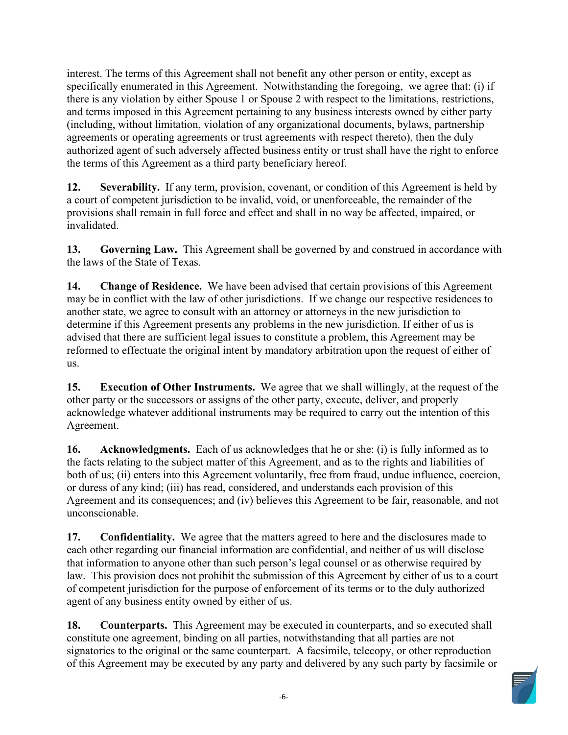specifically enumerated in this Agreement. Notwithstanding the foregoing, we agree that: (i) if there is any violation by either Spouse 1 or Spouse 2 with respect to the limitations, restrictions, agreements or operating agreements or trust agreements with respect thereto), then the duly authorized agent of such adversely affected business entity or trust shall have the right to enforce the terms of this Agreement as a third party beneficiary hereof. interest. The terms of this Agreement shall not benefit any other person or entity, except as and terms imposed in this Agreement pertaining to any business interests owned by either party (including, without limitation, violation of any organizational documents, bylaws, partnership

 **12. Severability.** If any term, provision, covenant, or condition of this Agreement is held by a court of competent jurisdiction to be invalid, void, or unenforceable, the remainder of the provisions shall remain in full force and effect and shall in no way be affected, impaired, or invalidated.

 **13. Governing Law.** This Agreement shall be governed by and construed in accordance with the laws of the State of Texas.

 **14. Change of Residence.** We have been advised that certain provisions of this Agreement may be in conflict with the law of other jurisdictions. If we change our respective residences to another state, we agree to consult with an attorney or attorneys in the new jurisdiction to determine if this Agreement presents any problems in the new jurisdiction. If either of us is advised that there are sufficient legal issues to constitute a problem, this Agreement may be reformed to effectuate the original intent by mandatory arbitration upon the request of either of us.

 **15. Execution of Other Instruments.** We agree that we shall willingly, at the request of the other party or the successors or assigns of the other party, execute, deliver, and properly acknowledge whatever additional instruments may be required to carry out the intention of this Agreement.

 **16. Acknowledgments.** Each of us acknowledges that he or she: (i) is fully informed as to the facts relating to the subject matter of this Agreement, and as to the rights and liabilities of or duress of any kind; (iii) has read, considered, and understands each provision of this Agreement and its consequences; and (iv) believes this Agreement to be fair, reasonable, and not both of us; (ii) enters into this Agreement voluntarily, free from fraud, undue influence, coercion, unconscionable.

 **17. Confidentiality.** We agree that the matters agreed to here and the disclosures made to each other regarding our financial information are confidential, and neither of us will disclose that information to anyone other than such person's legal counsel or as otherwise required by law. This provision does not prohibit the submission of this Agreement by either of us to a court of competent jurisdiction for the purpose of enforcement of its terms or to the duly authorized agent of any business entity owned by either of us.

**18.** Counterparts. This Agreement may be executed in counterparts, and so executed shall constitute one agreement, binding on all parties, notwithstanding that all parties are not signatories to the original or the same counterpart. A facsimile, telecopy, or other reproduction of this Agreement may be executed by any party and delivered by any such party by facsimile or

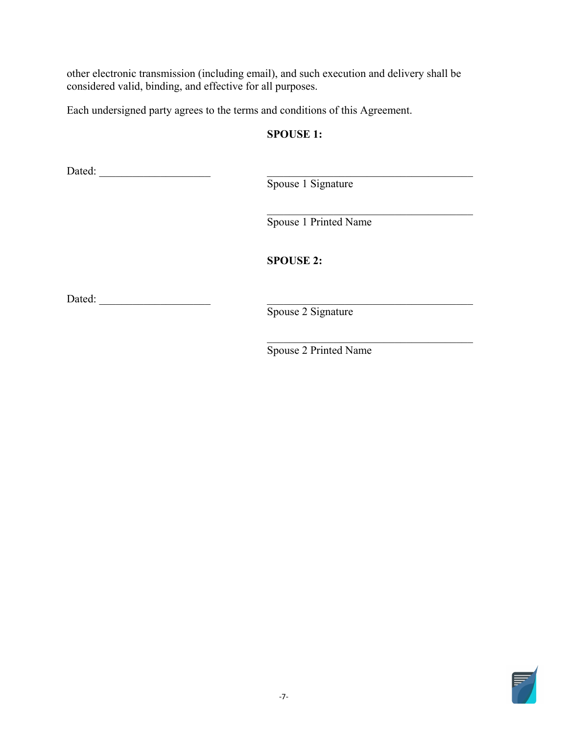other electronic transmission (including email), and such execution and delivery shall be considered valid, binding, and effective for all purposes.

Each undersigned party agrees to the terms and conditions of this Agreement.

 Dated:<br>
Dated:<br>
Spouse 1 Sig<br>
Spouse 1 Prin<br>
SPOUSE 2:<br>
Dated:

Spouse 1 Signature

\_\_\_\_\_\_\_\_\_\_\_\_\_\_\_\_\_\_\_\_\_\_\_\_\_\_\_\_\_\_\_\_\_\_\_\_\_ Spouse 1 Printed Name

**SPOUSE 2:** 

Spouse 2 Signature

\_\_\_\_\_\_\_\_\_\_\_\_\_\_\_\_\_\_\_\_\_\_\_\_\_\_\_\_\_\_\_\_\_\_\_\_\_ Spouse 2 Printed Name